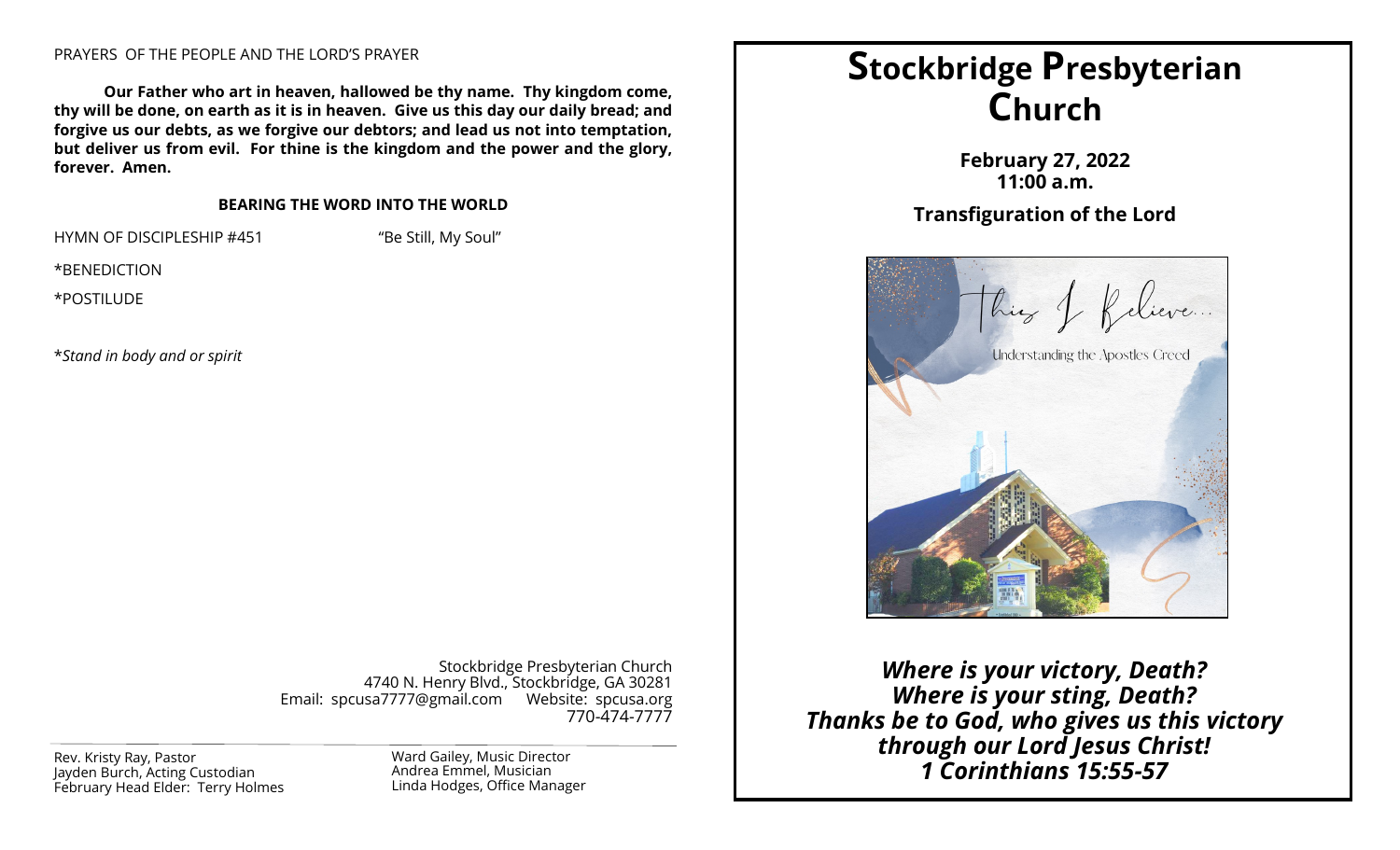#### PRAYERS OF THE PEOPLE AND THE LORD'S PRAYER

**Our Father who art in heaven, hallowed be thy name. Thy kingdom come, thy will be done, on earth as it is in heaven. Give us this day our daily bread; and forgive us our debts, as we forgive our debtors; and lead us not into temptation, but deliver us from evil. For thine is the kingdom and the power and the glory, forever. Amen.**

#### **BEARING THE WORD INTO THE WORLD**

HYMN OF DISCIPLESHIP #451 "Be Still, My Soul"

\*BENEDICTION

\*POSTILUDE

\**Stand in body and or spirit*

Stockbridge Presbyterian Church 4740 N. Henry Blvd., Stockbridge, GA 30281 Email: spcusa7777@gmail.com Website: spcusa.org 770-474-7777

Jayden Burch, Acting Custodian February Head Elder: Terry Holmes Ward Gailey, Music Director Andrea Emmel, Musician Linda Hodges, Office Manager

# **Stockbridge Presbyterian Church**

**February 27, 2022 11:00 a.m.**

## **Transfiguration of the Lord**



*Where is your victory, Death? Where is your sting, Death? Thanks be to God, who gives us this victory through our Lord Jesus Christ!*  Rev. Kristy Ray, Pastor **Corinthians 15:55-57**<br>
layden Burch, Acting Custodian **Number of Andrea Emmel, Musician Corinthians 15:55-57**